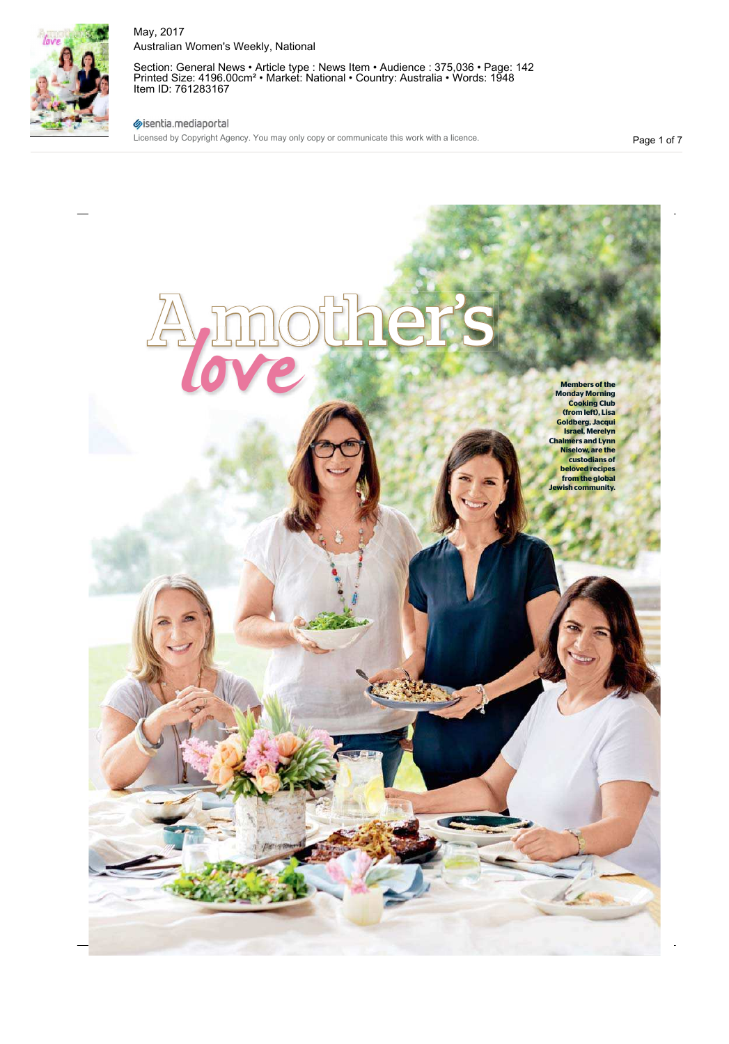

Section: General News • Article type : News Item • Audience : 375,036 • Page: 142 Printed Size: 4196.00cm² • Market: National • Country: Australia • Words: 1948 Item ID: 761283167

## sisentia.mediaportal

Licensed by Copyright Agency. You may only copy or communicate this work with a licence.

Page 1 of 7

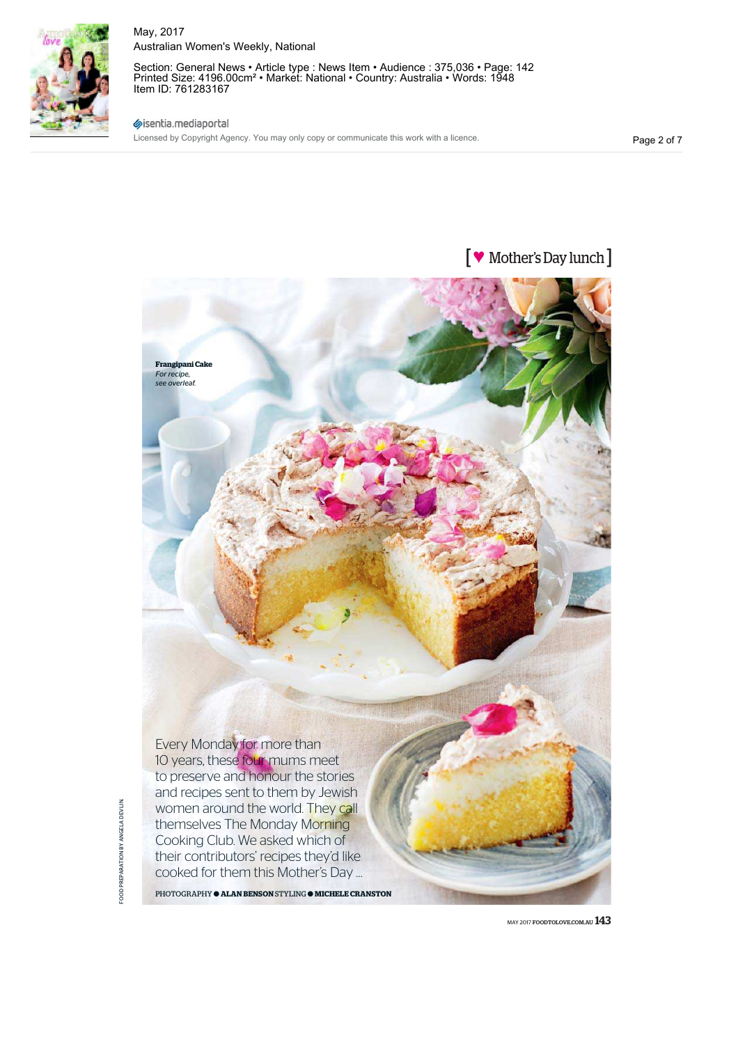

Section: General News • Article type : News Item • Audience : 375,036 • Page: 142 Printed Size: 4196.00cm² • Market: National • Country: Australia • Words: 1948 Item ID: 761283167

sisentia.mediaportal

Licensed by Copyright Agency. You may only copy or communicate this work with a licence.

Page 2 of 7





MAY 2017 FOODTOLOVE.COM.AU  $143$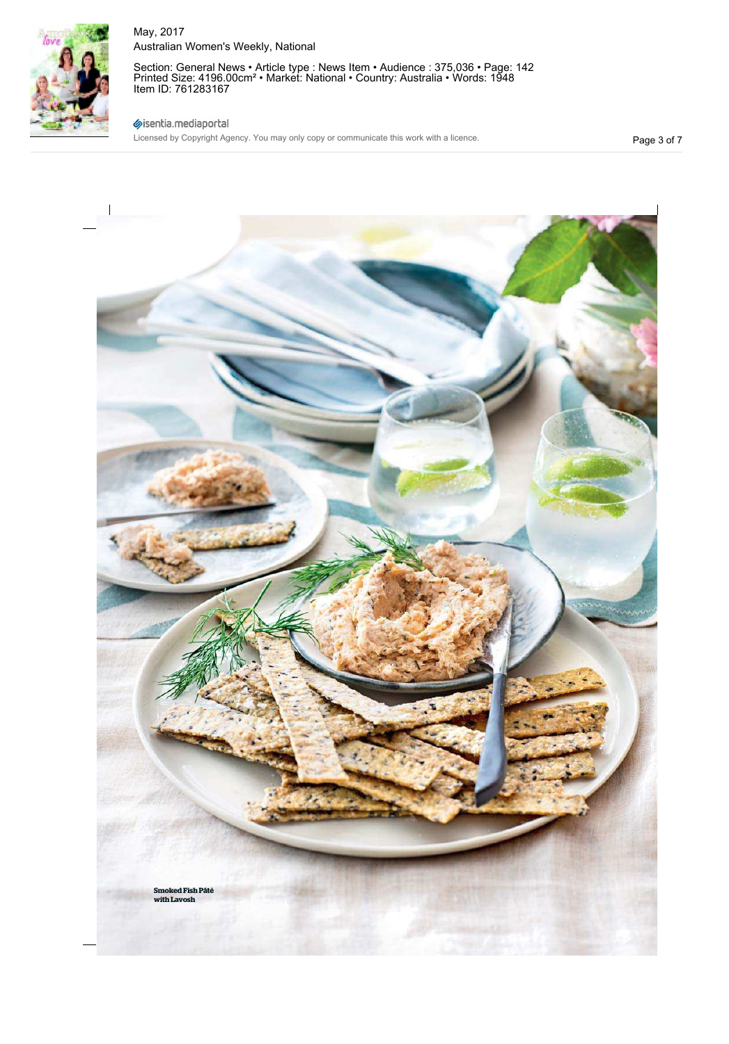

Section: General News • Article type : News Item • Audience : 375,036 • Page: 142 Printed Size: 4196.00cm² • Market: National • Country: Australia • Words: 1948 Item ID: 761283167

## sisentia.mediaportal

Licensed by Copyright Agency. You may only copy or communicate this work with a licence.

Page 3 of 7

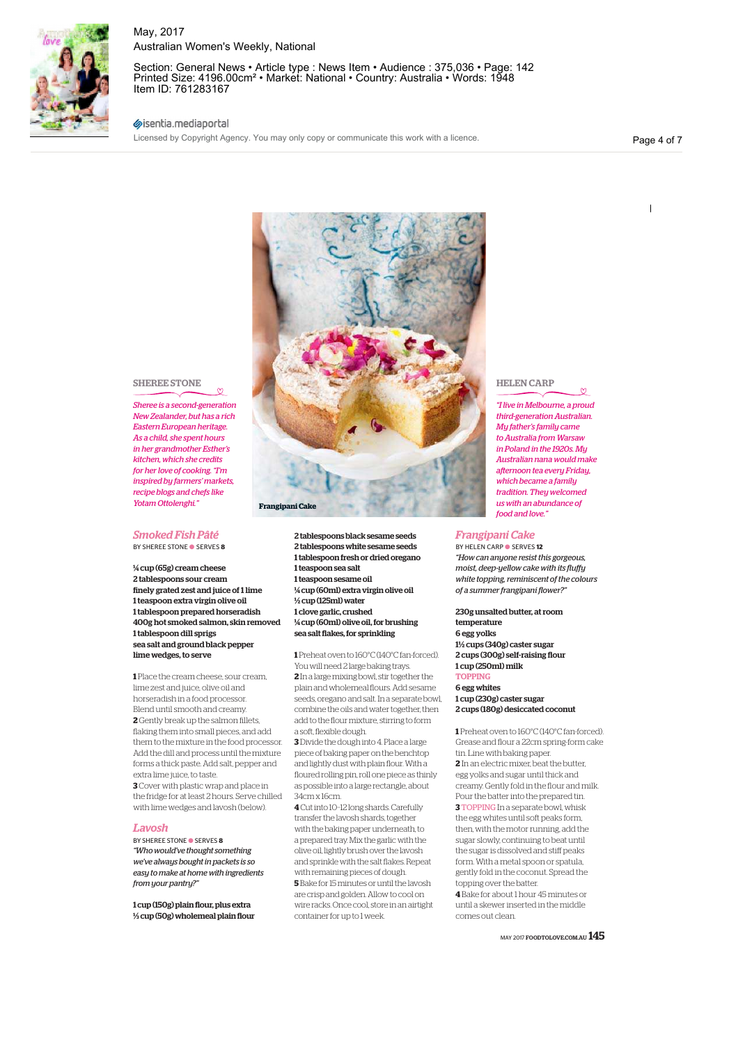

Section: General News • Article type : News Item • Audience : 375,036 • Page: 142 Printed Size: 4196.00cm² • Market: National • Country: Australia • Words: 1948 Item ID: 761283167

### sientia.mediaportal

Licensed by Copyright Agency. You may only copy or communicate this work with a licence.

Page 4 of 7

 $\overline{1}$ 



#### SHEREE STONE

*Sheree is a second-generation New Zealander, but has a rich Eastern European heritage. As a child, she spent hours in her grandmother Esther's kitchen, which she credits for her love of cooking. "I'm inspired by farmers' markets, recipe blogs and chefs like Yotam Ottolenghi."*

# *Smoked Fish Pâté*

BY SHEREE STONE ● SERVES **8**

¼ cup (65g) cream cheese 2 tablespoons sour cream finely grated zest and juice of 1 lime 1 teaspoon extra virgin olive oil 1 tablespoon prepared horseradish 400g hot smoked salmon, skin removed 1 tablespoon dill sprigs sea salt and ground black pepper lime wedges, to serve

**1** Place the cream cheese, sour cream, lime zest and juice, olive oil and horseradish in a food processor. Blend until smooth and creamy. **2** Gently break up the salmon fillets, flaking them into small pieces, and add them to the mixture in the food processor. Add the dill and process until the mixture forms a thick paste. Add salt, pepper and extra lime juice, to taste.

**3** Cover with plastic wrap and place in the fridge for at least 2 hours. Serve chilled with lime wedges and lavosh (below).

#### *Lavosh*

BY SHEREE STONE ● SERVES **8** *"Who would've thought something we've always bought in packets is so easy to make at home with ingredients from your pantry?"*

1 cup (150g) plain flour, plus extra ⅓ cup (50g) wholemeal plain flour

2 tablespoons black sesame seeds 2 tablespoons white sesame seeds 1 tablespoon fresh or dried oregano 1 teaspoon sea salt 1 teaspoon sesame oil ¼ cup (60ml) extra virgin olive oil ½ cup (125ml) water 1 clove garlic, crushed ¼ cup (60ml) olive oil, for brushing sea salt flakes, for sprinkling

**1** Preheat oven to 160°C (140°C fan-forced). You will need 2 large baking trays.

**2** In a large mixing bowl, stir together the plain and wholemeal flours. Add sesame seeds, oregano and salt. In a separate bowl, combine the oils and water together, then add to the flour mixture, stirring to form a soft, flexible dough.

**3** Divide the dough into 4. Place a large piece of baking paper on the benchtop and lightly dust with plain flour. With a floured rolling pin, roll one piece as thinly as possible into a large rectangle, about 34cm x 16cm.

**4** Cut into 10–12 long shards. Carefully transfer the lavosh shards, together with the baking paper underneath, to a prepared tray. Mix the garlic with the olive oil, lightly brush over the lavosh and sprinkle with the salt flakes. Repeat with remaining pieces of dough. **5** Bake for 15 minutes or until the lavosh are crisp and golden. Allow to cool on wire racks. Once cool, store in an airtight container for up to 1 week.

## HELEN CARP

*"I live in Melbourne, a proud third-generation Australian. My father's family came to Australia from Warsaw in Poland in the 1920s. My Australian nana would make afternoon tea every Friday, which became a family tradition. They welcomed us with an abundance of food and love."* 

#### *Frangipani Cake*

BY HELEN CARP ● SERVES **12** *"How can anyone resist this gorgeous, moist, deep-yellow cake with its fluffy white topping, reminiscent of the colours of a summer frangipani flower?"*

230g unsalted butter, at room temperature 6 egg yolks 1½ cups (340g) caster sugar 2 cups (300g) self-raising flour 1 cup (250ml) milk **TOPPING** 6 egg whites

1 cup (230g) caster sugar 2 cups (180g) desiccated coconut

**1** Preheat oven to 160°C (140°C fan-forced). Grease and flour a 22cm spring-form cake tin. Line with baking paper. **2** In an electric mixer, beat the butter, egg yolks and sugar until thick and creamy. Gently fold in the flour and milk. Pour the batter into the prepared tin. **3** TOPPING In a separate bowl, whisk

the egg whites until soft peaks form, then, with the motor running, add the sugar slowly, continuing to beat until the sugar is dissolved and stiff peaks form. With a metal spoon or spatula, gently fold in the coconut. Spread the topping over the batter.

**4** Bake for about 1 hour 45 minutes or until a skewer inserted in the middle comes out clean.

MAY 2017 FOODTOLOVE.COM.AU  $145$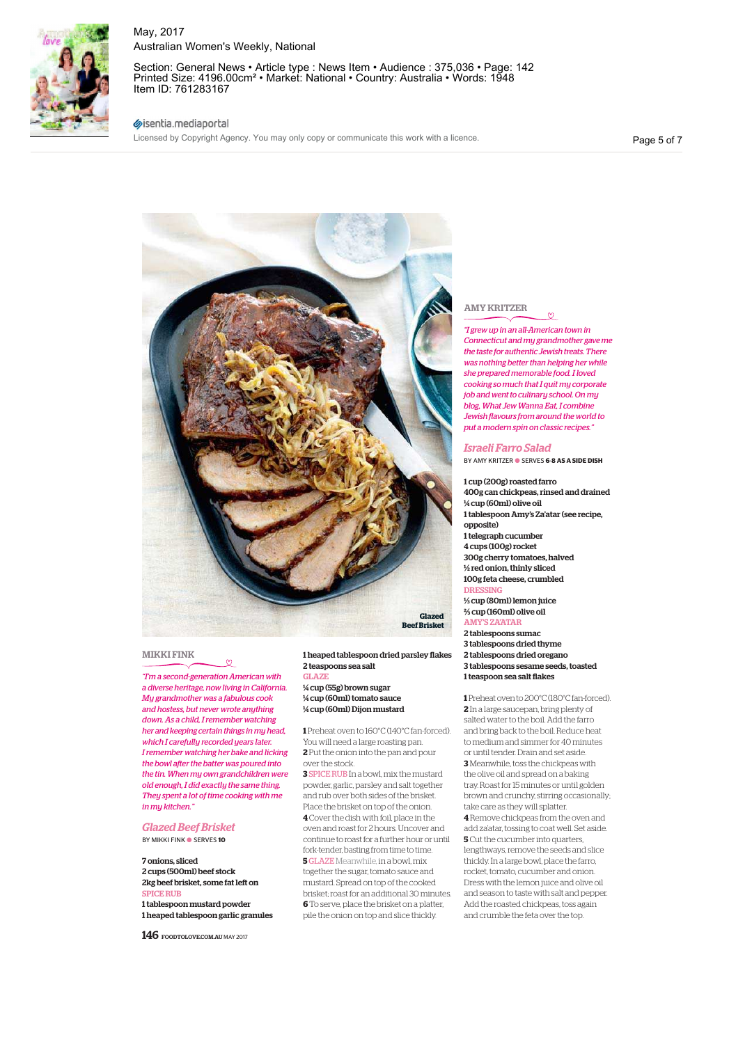

Section: General News • Article type : News Item • Audience : 375,036 • Page: 142 Printed Size: 4196.00cm² • Market: National • Country: Australia • Words: 1948 Item ID: 761283167

## sisentia.mediaportal

Licensed by Copyright Agency. You may only copy or communicate this work with a licence.

Page 5 of 7



#### MIKKI FINK

*"I'm a second-generation American with a diverse heritage, now living in California. My grandmother was a fabulous cook and hostess, but never wrote anything down. As a child, I remember watching her and keeping certain things in my head, which I carefully recorded years later. I remember watching her bake and licking the bowl after the batter was poured into the tin. When my own grandchildren were old enough, I did exactly the same thing. They spent a lot of time cooking with me in my kitchen."*

*Glazed Beef Brisket*  BY MIKKI FINK ● SERVES **10**

### 7 onions, sliced 2 cups (500ml) beef stock 2kg beef brisket, some fat left on SPICE RUB 1 tablespoon mustard powder

1 heaped tablespoon garlic granules

146 FOODTOLOVE.COM.AU MAY 2017

#### 1 heaped tablespoon dried parsley flakes 2 teaspoons sea salt

GLAZE ¼ cup (55g) brown sugar ¼ cup (60ml) tomato sauce ¼ cup (60ml) Dijon mustard

**1** Preheat oven to 160°C (140°C fan-forced). You will need a large roasting pan. **2** Put the onion into the pan and pour over the stock.

**3** SPICE RUB In a bowl, mix the mustard powder, garlic, parsley and salt together and rub over both sides of the brisket. Place the brisket on top of the onion. **4** Cover the dish with foil, place in the oven and roast for 2 hours. Uncover and continue to roast for a further hour or until fork-tender, basting from time to time. **5**GLAZE Meanwhile, in a bowl, mix together the sugar, tomato sauce and mustard. Spread on top of the cooked brisket; roast for an additional 30 minutes. **6** To serve, place the brisket on a platter, pile the onion on top and slice thickly.

## AMY KRITZER

*"I grew up in an all-American town in Connecticut and my grandmother gave me the taste for authentic Jewish treats. There was nothing better than helping her while she prepared memorable food. I loved cooking so much that I quit my corporate job and went to culinary school. On my blog, What Jew Wanna Eat, I combine Jewish flavours from around the world to put a modern spin on classic recipes."*

#### *Israeli Farro Salad*

BY AMY KRITZER ● SERVES **6**-**8 AS A SIDE DISH**

1 cup (200g) roasted farro 400g can chickpeas, rinsed and drained ¼ cup (60ml) olive oil 1 tablespoon Amy's Za'atar (see recipe, opposite) 1 telegraph cucumber 4 cups (100g) rocket 300g cherry tomatoes, halved ½ red onion, thinly sliced 100g feta cheese, crumbled **DRESSING** ⅓ cup (80ml) lemon juice ⅔ cup (160ml) olive oil AMY'S ZA'ATAR 2 tablespoons sumac 3 tablespoons dried thyme 2 tablespoons dried oregano 3 tablespoons sesame seeds, toasted 1 teaspoon sea salt flakes

**1** Preheat oven to 200°C (180°C fan-forced). **2** In a large saucepan, bring plenty of salted water to the boil. Add the farro and bring back to the boil. Reduce heat to medium and simmer for 40 minutes or until tender. Drain and set aside. **3** Meanwhile, toss the chickpeas with the olive oil and spread on a baking tray. Roast for 15 minutes or until golden brown and crunchy, stirring occasionally; take care as they will splatter.

**4** Remove chickpeas from the oven and add za'atar, tossing to coat well. Set aside. **5** Cut the cucumber into quarters, lengthways, remove the seeds and slice thickly. In a large bowl, place the farro, rocket, tomato, cucumber and onion. Dress with the lemon juice and olive oil and season to taste with salt and pepper. Add the roasted chickpeas, toss again and crumble the feta over the top.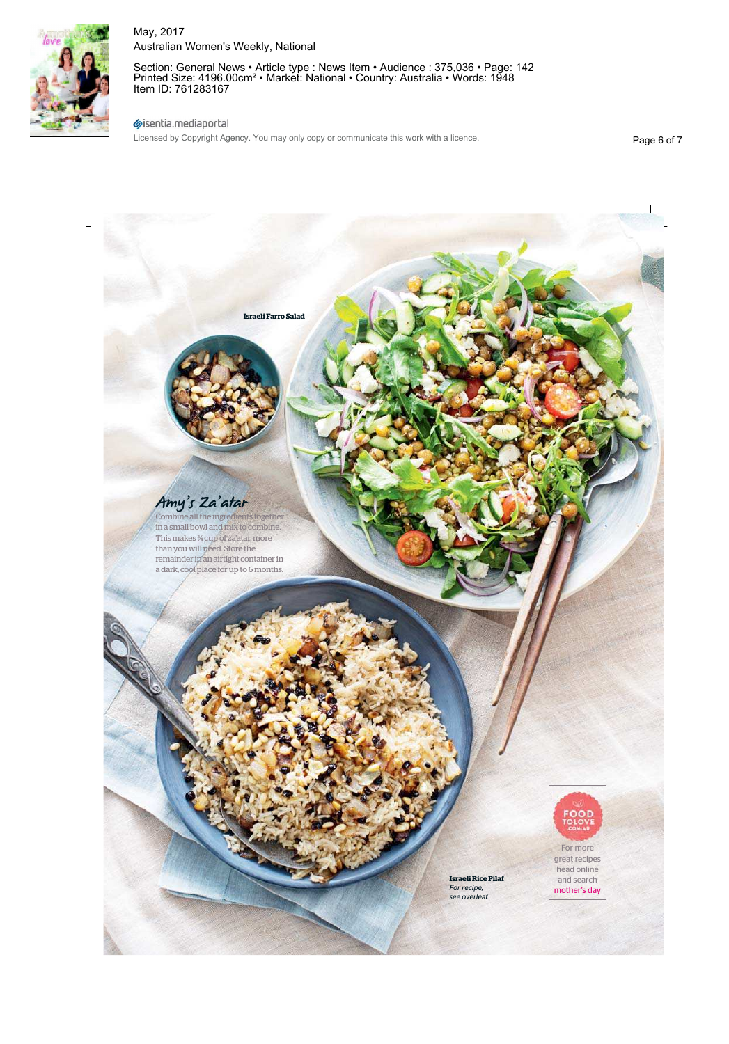

Section: General News • Article type : News Item • Audience : 375,036 • Page: 142 Printed Size: 4196.00cm² • Market: National • Country: Australia • Words: 1948 Item ID: 761283167

## sisentia.mediaportal

Licensed by Copyright Agency. You may only copy or communicate this work with a licence.

Page 6 of 7